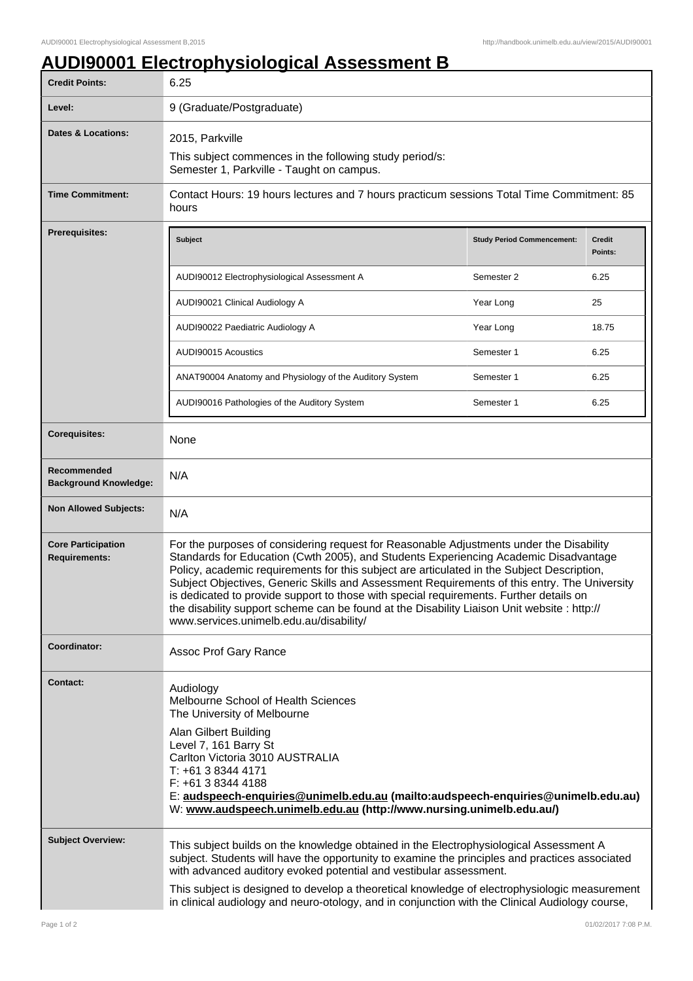## **AUDI90001 Electrophysiological Assessment B**

| <b>Credit Points:</b>                             | 6.25                                                                                                                                                                                                                                                                                                                                                                                                                                                                                                                                                                                                              |                                   |                   |
|---------------------------------------------------|-------------------------------------------------------------------------------------------------------------------------------------------------------------------------------------------------------------------------------------------------------------------------------------------------------------------------------------------------------------------------------------------------------------------------------------------------------------------------------------------------------------------------------------------------------------------------------------------------------------------|-----------------------------------|-------------------|
| Level:                                            | 9 (Graduate/Postgraduate)                                                                                                                                                                                                                                                                                                                                                                                                                                                                                                                                                                                         |                                   |                   |
| Dates & Locations:                                | 2015, Parkville<br>This subject commences in the following study period/s:<br>Semester 1, Parkville - Taught on campus.                                                                                                                                                                                                                                                                                                                                                                                                                                                                                           |                                   |                   |
| <b>Time Commitment:</b>                           | Contact Hours: 19 hours lectures and 7 hours practicum sessions Total Time Commitment: 85<br>hours                                                                                                                                                                                                                                                                                                                                                                                                                                                                                                                |                                   |                   |
| <b>Prerequisites:</b>                             | <b>Subject</b>                                                                                                                                                                                                                                                                                                                                                                                                                                                                                                                                                                                                    | <b>Study Period Commencement:</b> | Credit<br>Points: |
|                                                   | AUDI90012 Electrophysiological Assessment A                                                                                                                                                                                                                                                                                                                                                                                                                                                                                                                                                                       | Semester 2                        | 6.25              |
|                                                   | AUDI90021 Clinical Audiology A                                                                                                                                                                                                                                                                                                                                                                                                                                                                                                                                                                                    | Year Long                         | 25                |
|                                                   | AUDI90022 Paediatric Audiology A                                                                                                                                                                                                                                                                                                                                                                                                                                                                                                                                                                                  | Year Long                         | 18.75             |
|                                                   | AUDI90015 Acoustics                                                                                                                                                                                                                                                                                                                                                                                                                                                                                                                                                                                               | Semester 1                        | 6.25              |
|                                                   | ANAT90004 Anatomy and Physiology of the Auditory System                                                                                                                                                                                                                                                                                                                                                                                                                                                                                                                                                           | Semester 1                        | 6.25              |
|                                                   | AUDI90016 Pathologies of the Auditory System                                                                                                                                                                                                                                                                                                                                                                                                                                                                                                                                                                      | Semester 1                        | 6.25              |
| <b>Corequisites:</b>                              | None                                                                                                                                                                                                                                                                                                                                                                                                                                                                                                                                                                                                              |                                   |                   |
| Recommended<br><b>Background Knowledge:</b>       | N/A                                                                                                                                                                                                                                                                                                                                                                                                                                                                                                                                                                                                               |                                   |                   |
| <b>Non Allowed Subjects:</b>                      | N/A                                                                                                                                                                                                                                                                                                                                                                                                                                                                                                                                                                                                               |                                   |                   |
| <b>Core Participation</b><br><b>Requirements:</b> | For the purposes of considering request for Reasonable Adjustments under the Disability<br>Standards for Education (Cwth 2005), and Students Experiencing Academic Disadvantage<br>Policy, academic requirements for this subject are articulated in the Subject Description,<br>Subject Objectives, Generic Skills and Assessment Requirements of this entry. The University<br>is dedicated to provide support to those with special requirements. Further details on<br>the disability support scheme can be found at the Disability Liaison Unit website : http://<br>www.services.unimelb.edu.au/disability/ |                                   |                   |
| Coordinator:                                      | Assoc Prof Gary Rance                                                                                                                                                                                                                                                                                                                                                                                                                                                                                                                                                                                             |                                   |                   |
| <b>Contact:</b>                                   | Audiology<br>Melbourne School of Health Sciences<br>The University of Melbourne<br>Alan Gilbert Building<br>Level 7, 161 Barry St<br>Carlton Victoria 3010 AUSTRALIA<br>T: +61 3 8344 4171<br>F: +61 3 8344 4188<br>E: audspeech-enquiries@unimelb.edu.au (mailto:audspeech-enquiries@unimelb.edu.au)<br>W: www.audspeech.unimelb.edu.au (http://www.nursing.unimelb.edu.au/)                                                                                                                                                                                                                                     |                                   |                   |
| <b>Subject Overview:</b>                          | This subject builds on the knowledge obtained in the Electrophysiological Assessment A<br>subject. Students will have the opportunity to examine the principles and practices associated<br>with advanced auditory evoked potential and vestibular assessment.<br>This subject is designed to develop a theoretical knowledge of electrophysiologic measurement<br>in clinical audiology and neuro-otology, and in conjunction with the Clinical Audiology course,                                                                                                                                                |                                   |                   |